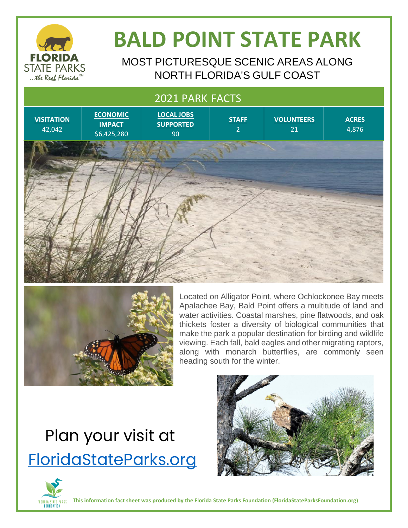

# **BALD POINT STATE PARK**

MOST PICTURESQUE SCENIC AREAS ALONG NORTH FLORIDA'S GULF COAST

#### 2021 PARK FACTS





Located on Alligator Point, where Ochlockonee Bay meets Apalachee Bay, Bald Point offers a multitude of land and water activities. Coastal marshes, pine flatwoods, and oak thickets foster a diversity of biological communities that make the park a popular destination for birding and wildlife viewing. Each fall, bald eagles and other migrating raptors, along with monarch butterflies, are commonly seen heading south for the winter.

## Plan your visit at [FloridaStateParks.org](http://www.floridastateparks.org/)



**This information fact sheet was produced by the Florida State Parks Foundation (FloridaStateParksFoundation.org)**